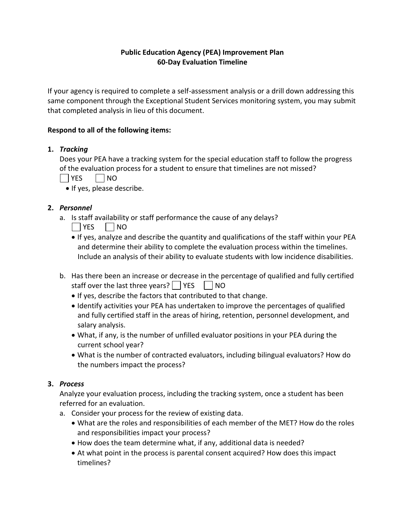# **Public Education Agency (PEA) Improvement Plan 60-Day Evaluation Timeline**

If your agency is required to complete a self-assessment analysis or a drill down addressing this same component through the Exceptional Student Services monitoring system, you may submit that completed analysis in lieu of this document.

## **Respond to all of the following items:**

### **1.** *Tracking*

Does your PEA have a tracking system for the special education staff to follow the progress of the evaluation process for a student to ensure that timelines are not missed?

YES NO

• If yes, please describe.

# **2.** *Personnel*

- a. Is staff availability or staff performance the cause of any delays?
	- $|$  YES  $|$  NO
	- If yes, analyze and describe the quantity and qualifications of the staff within your PEA and determine their ability to complete the evaluation process within the timelines. Include an analysis of their ability to evaluate students with low incidence disabilities.
- b. Has there been an increase or decrease in the percentage of qualified and fully certified staff over the last three years?  $\Box$  YES  $\Box$  NO
	- If yes, describe the factors that contributed to that change.
	- Identify activities your PEA has undertaken to improve the percentages of qualified and fully certified staff in the areas of hiring, retention, personnel development, and salary analysis.
	- What, if any, is the number of unfilled evaluator positions in your PEA during the current school year?
	- What is the number of contracted evaluators, including bilingual evaluators? How do the numbers impact the process?

### **3.** *Process*

Analyze your evaluation process, including the tracking system, once a student has been referred for an evaluation.

- a. Consider your process for the review of existing data.
	- What are the roles and responsibilities of each member of the MET? How do the roles and responsibilities impact your process?
	- How does the team determine what, if any, additional data is needed?
	- At what point in the process is parental consent acquired? How does this impact timelines?